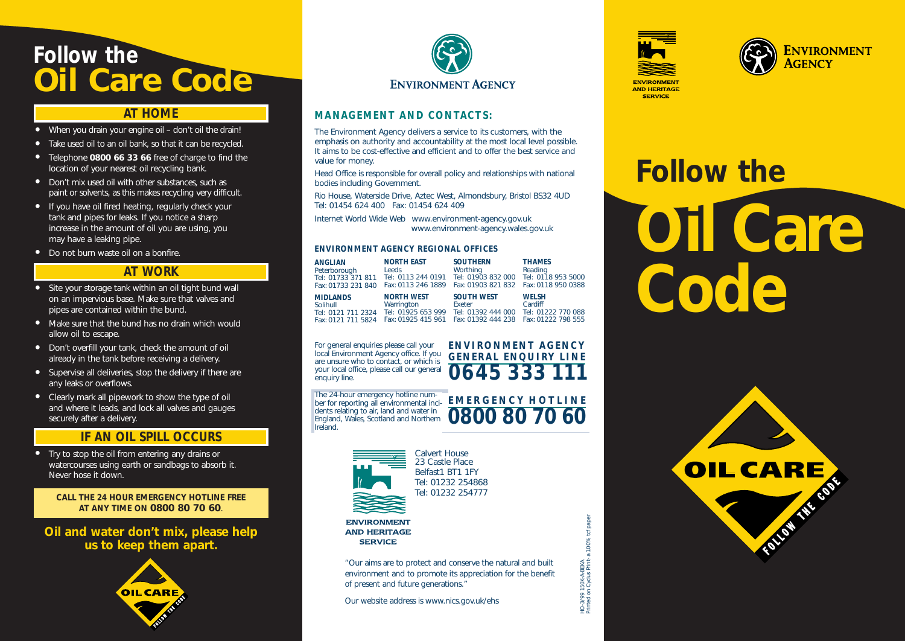## *Follow the*  **Oil Care Code**

### *AT HOME*

- When you drain your engine oil don't oil the drain!
- Take used oil to an oil bank, so that it can be recycled.
- Telephone **0800 66 33 66** free of charge to find the location of your nearest oil recycling bank.
- Don't mix used oil with other substances, such as paint or solvents, as this makes recycling very difficult.
- If you have oil fired heating, regularly check your tank and pipes for leaks. If you notice a sharp increase in the amount of oil you are using, you may have a leaking pipe.
- Do not burn waste oil on a bonfire.

### *AT WORK*

- Site your storage tank within an oil tight bund wall on an impervious base. Make sure that valves and pipes are contained within the bund.
- Make sure that the bund has no drain which would allow oil to escape.
- Don't overfill your tank, check the amount of oil already in the tank before receiving a delivery.
- Supervise all deliveries, stop the delivery if there are any leaks or overflows.
- Clearly mark all pipework to show the type of oil and where it leads, and lock all valves and gauges securely after a delivery.

### *IF AN OIL SPILL OCCURS*

Try to stop the oil from entering any drains or watercourses using earth or sandbags to absorb it. Never hose it down.

**CALL THE 24 HOUR EMERGENCY HOTLINE FREE AT ANY TIME ON 0800 80 70 60**.

**Oil and water don't mix, please help us to keep them apart.**





### **MANAGEMENT AND CONTACTS:**

The Environment Agency delivers a service to its customers, with the emphasis on authority and accountability at the most local level possible. It aims to be cost-effective and efficient and to offer the best service and value for money.

Head Office is responsible for overall policy and relationships with national bodies including Government.

Rio House, Waterside Drive, Aztec West, Almondsbury, Bristol BS32 4UD Tel: 01454 624 400 Fax: 01454 624 409

Internet World Wide Web www.environment-agency.gov.uk www.environment-agency.wales.gov.uk

#### **ENVIRONMENT AGENCY REGIONAL OFFICES**

| <b>ANGLIAN</b><br>Peterborough<br>Tel: 01733 371 811<br>Fax: 01733 231 840 | <b>NORTH EAST</b><br>Leeds<br>Tel: 0113 244 0191<br>Fax: 0113 246 1889      | <b>SOUTHERN</b><br>Worthing<br>Tel: 01903 832 000 Tel: 0118 953 5000<br>Fax: 01903 821 832   Fax: 0118 950 0388 | <b>THAMES</b><br>Reading                      |
|----------------------------------------------------------------------------|-----------------------------------------------------------------------------|-----------------------------------------------------------------------------------------------------------------|-----------------------------------------------|
| <b>MIDLANDS</b><br>Solihull<br>Tel: 0121 711 2324<br>Fax: 0121 711 5824    | <b>NORTH WEST</b><br>Warrington<br>Tel: 01925 653 999<br>Fax: 01925 415 961 | <b>SOUTH WEST</b><br>Exeter<br>Tel: 01392 444 000<br>Fax: 01392 444 238  Fax: 01222 798 555                     | <b>WELSH</b><br>Cardiff<br>Tel: 01222 770 088 |

**ENVIRONMENT AGENCY GENERAL ENQUIRY LINE 0645 333 111**

HO-3/99 150K-A-BEKA

Printed on Cyclus Print- a 100% tcf paper

HO-3/99 150K-A-BEKA<br>Minted on Cyclus Print- a 100% tof paper

For general enquiries please call your local Environment Agency office. If you are unsure who to contact, or which is your local office, please call our general enquiry line.

Ireland.

The 24-hour emergency hotline num-  $\overline{\phantom{a}}$  **EMERGENCY HOTLINE**<br>ber for reporting all environmental inci- **EMERGENCY HOTLINE 0800 80 70 60** dents relating to air, land and water in England, Wales, Scotland and Northern



23 Castle Place Belfast1 BT1 1FY Tel: 01232 254868 Tel: 01232 254777

**ENVIRONMENT AND HERITAGE SERVICE** 

"Our aims are to protect and conserve the natural and built environment and to promote its appreciation for the benefit of present and future generations."

Our website address is www.nics.gov.uk/ehs





# **Follow the**